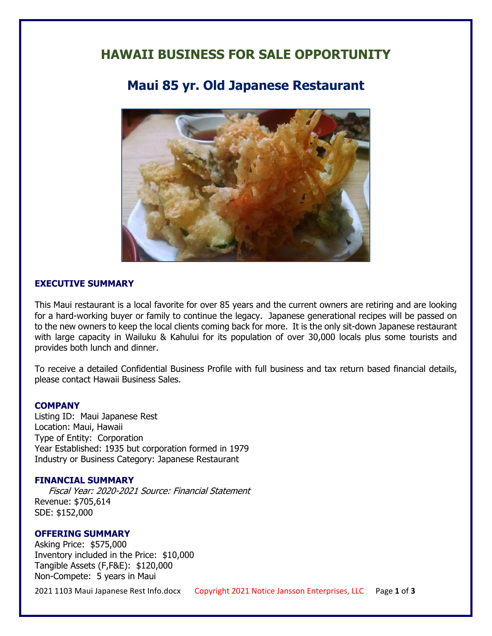## **HAWAII BUSINESS FOR SALE OPPORTUNITY**

# **Maui 85 yr. Old Japanese Restaurant**



#### **EXECUTIVE SUMMARY**

This Maui restaurant is a local favorite for over 85 years and the current owners are retiring and are looking for a hard-working buyer or family to continue the legacy. Japanese generational recipes will be passed on to the new owners to keep the local clients coming back for more. It is the only sit-down Japanese restaurant with large capacity in Wailuku & Kahului for its population of over 30,000 locals plus some tourists and provides both lunch and dinner.

To receive a detailed Confidential Business Profile with full business and tax return based financial details, please contact Hawaii Business Sales.

#### **COMPANY**

Listing ID: Maui Japanese Rest Location: Maui, Hawaii Type of Entity: Corporation Year Established: 1935 but corporation formed in 1979 Industry or Business Category: Japanese Restaurant

#### **FINANCIAL SUMMARY**

 Fiscal Year: 2020-2021 Source: Financial Statement Revenue: \$705,614 SDE: \$152,000

#### **OFFERING SUMMARY**

Asking Price: \$575,000 Inventory included in the Price: \$10,000 Tangible Assets (F,F&E): \$120,000 Non-Compete: 5 years in Maui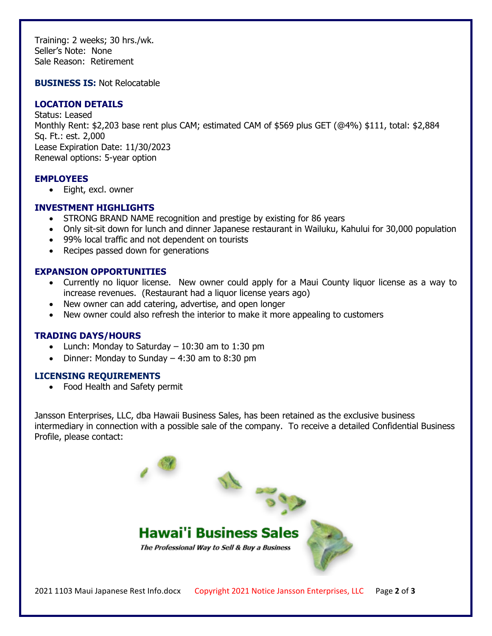Training: 2 weeks; 30 hrs./wk. Seller's Note: None Sale Reason: Retirement

**BUSINESS IS:** Not Relocatable

### **LOCATION DETAILS**

Status: Leased Monthly Rent: \$2,203 base rent plus CAM; estimated CAM of \$569 plus GET (@4%) \$111, total: \$2,884 Sq. Ft.: est. 2,000 Lease Expiration Date: 11/30/2023 Renewal options: 5-year option

#### **EMPLOYEES**

• Eight, excl. owner

### **INVESTMENT HIGHLIGHTS**

- STRONG BRAND NAME recognition and prestige by existing for 86 years
- Only sit-sit down for lunch and dinner Japanese restaurant in Wailuku, Kahului for 30,000 population
- 99% local traffic and not dependent on tourists
- Recipes passed down for generations

### **EXPANSION OPPORTUNITIES**

- Currently no liquor license. New owner could apply for a Maui County liquor license as a way to increase revenues. (Restaurant had a liquor license years ago)
- New owner can add catering, advertise, and open longer
- New owner could also refresh the interior to make it more appealing to customers

#### **TRADING DAYS/HOURS**

- Lunch: Monday to Saturday  $-10:30$  am to 1:30 pm
- Dinner: Monday to Sunday  $-4:30$  am to 8:30 pm

#### **LICENSING REQUIREMENTS**

• Food Health and Safety permit

Jansson Enterprises, LLC, dba Hawaii Business Sales, has been retained as the exclusive business intermediary in connection with a possible sale of the company. To receive a detailed Confidential Business Profile, please contact: